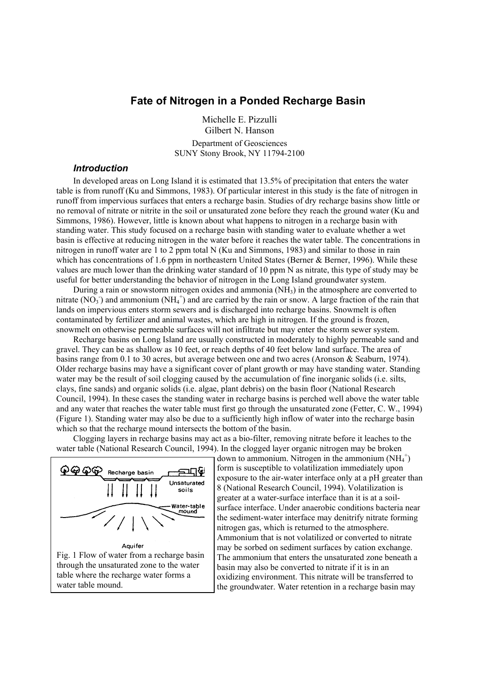## **Fate of Nitrogen in a Ponded Recharge Basin**

Michelle E. Pizzulli Gilbert N. Hanson Department of Geosciences SUNY Stony Brook, NY 11794-2100

## *Introduction*

In developed areas on Long Island it is estimated that 13.5% of precipitation that enters the water table is from runoff (Ku and Simmons, 1983). Of particular interest in this study is the fate of nitrogen in runoff from impervious surfaces that enters a recharge basin. Studies of dry recharge basins show little or no removal of nitrate or nitrite in the soil or unsaturated zone before they reach the ground water (Ku and Simmons, 1986). However, little is known about what happens to nitrogen in a recharge basin with standing water. This study focused on a recharge basin with standing water to evaluate whether a wet basin is effective at reducing nitrogen in the water before it reaches the water table. The concentrations in nitrogen in runoff water are 1 to 2 ppm total N (Ku and Simmons, 1983) and similar to those in rain which has concentrations of 1.6 ppm in northeastern United States (Berner & Berner, 1996). While these values are much lower than the drinking water standard of 10 ppm N as nitrate, this type of study may be useful for better understanding the behavior of nitrogen in the Long Island groundwater system.

During a rain or snowstorm nitrogen oxides and ammonia (NH3) in the atmosphere are converted to nitrate (NO<sub>3</sub>) and ammonium (NH<sub>4</sub><sup>+</sup>) and are carried by the rain or snow. A large fraction of the rain that lands on impervious enters storm sewers and is discharged into recharge basins. Snowmelt is often contaminated by fertilizer and animal wastes, which are high in nitrogen. If the ground is frozen, snowmelt on otherwise permeable surfaces will not infiltrate but may enter the storm sewer system.

Recharge basins on Long Island are usually constructed in moderately to highly permeable sand and gravel. They can be as shallow as 10 feet, or reach depths of 40 feet below land surface. The area of basins range from 0.1 to 30 acres, but average between one and two acres (Aronson & Seaburn, 1974). Older recharge basins may have a significant cover of plant growth or may have standing water. Standing water may be the result of soil clogging caused by the accumulation of fine inorganic solids (i.e. silts, clays, fine sands) and organic solids (i.e. algae, plant debris) on the basin floor (National Research Council, 1994). In these cases the standing water in recharge basins is perched well above the water table and any water that reaches the water table must first go through the unsaturated zone (Fetter, C. W., 1994) (Figure 1). Standing water may also be due to a sufficiently high inflow of water into the recharge basin which so that the recharge mound intersects the bottom of the basin.

Clogging layers in recharge basins may act as a bio-filter, removing nitrate before it leaches to the water table (National Research Council, 1994). In the clogged layer organic nitrogen may be broken



down to ammonium. Nitrogen in the ammonium  $(NH_4^+)$ form is susceptible to volatilization immediately upon exposure to the air-water interface only at a pH greater than 8 (National Research Council, 1994). Volatilization is greater at a water-surface interface than it is at a soilsurface interface. Under anaerobic conditions bacteria near the sediment-water interface may denitrify nitrate forming nitrogen gas, which is returned to the atmosphere. Ammonium that is not volatilized or converted to nitrate may be sorbed on sediment surfaces by cation exchange. The ammonium that enters the unsaturated zone beneath a basin may also be converted to nitrate if it is in an oxidizing environment. This nitrate will be transferred to the groundwater. Water retention in a recharge basin may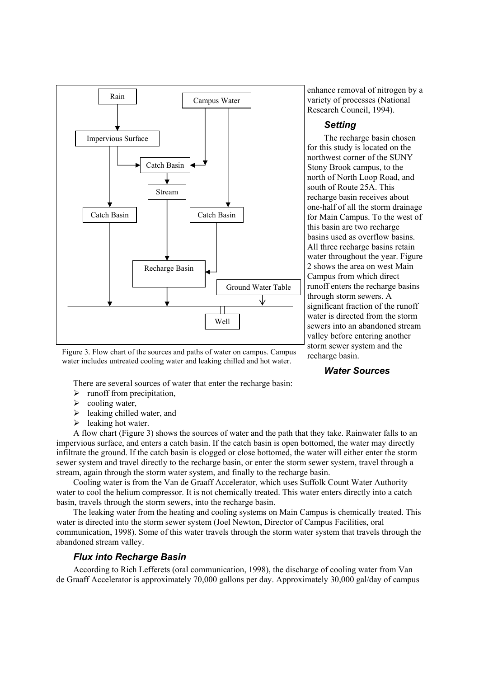

Figure 3. Flow chart of the sources and paths of water on campus. Campus water includes untreated cooling water and leaking chilled and hot water.

There are several sources of water that enter the recharge basin:

enhance removal of nitrogen by a variety of processes (National Research Council, 1994).

## *Setting*

The recharge basin chosen for this study is located on the northwest corner of the SUNY Stony Brook campus, to the north of North Loop Road, and south of Route 25A. This recharge basin receives about one-half of all the storm drainage for Main Campus. To the west of this basin are two recharge basins used as overflow basins. All three recharge basins retain water throughout the year. Figure 2 shows the area on west Main Campus from which direct runoff enters the recharge basins through storm sewers. A significant fraction of the runoff water is directed from the storm sewers into an abandoned stream valley before entering another storm sewer system and the recharge basin.

## *Water Sources*

sewer system and travel directly to the recharge basin, or enter the storm sewer system, travel through a stream, again through the storm water system, and finally to the recharge basin. Cooling water is from the Van de Graaff Accelerator, which uses Suffolk Count Water Authority

water to cool the helium compressor. It is not chemically treated. This water enters directly into a catch basin, travels through the storm sewers, into the recharge basin. The leaking water from the heating and cooling systems on Main Campus is chemically treated. This

A flow chart (Figure 3) shows the sources of water and the path that they take. Rainwater falls to an impervious surface, and enters a catch basin. If the catch basin is open bottomed, the water may directly infiltrate the ground. If the catch basin is clogged or close bottomed, the water will either enter the storm

water is directed into the storm sewer system (Joel Newton, Director of Campus Facilities, oral communication, 1998). Some of this water travels through the storm water system that travels through the abandoned stream valley.

## *Flux into Recharge Basin*

 $\triangleright$  runoff from precipitation,

 $\blacktriangleright$  leaking chilled water, and

 $\triangleright$  cooling water,

 $\blacktriangleright$  leaking hot water.

According to Rich Lefferets (oral communication, 1998), the discharge of cooling water from Van de Graaff Accelerator is approximately 70,000 gallons per day. Approximately 30,000 gal/day of campus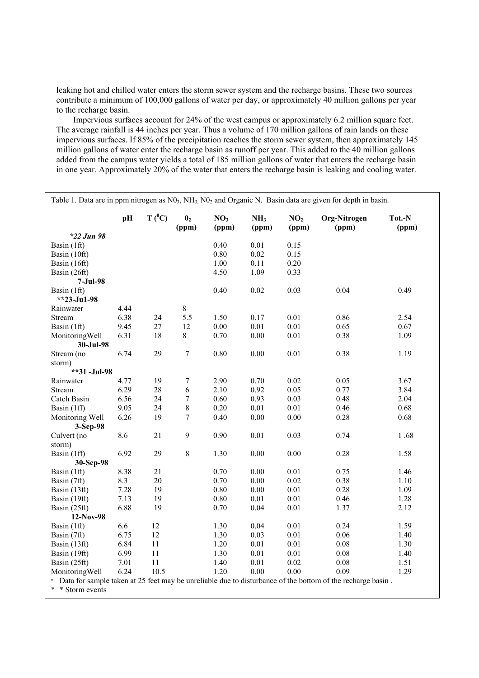leaking hot and chilled water enters the storm sewer system and the recharge basins. These two sources contribute a minimum of 100,000 gallons of water per day, or approximately 40 million gallons per year to the recharge basin.

Impervious surfaces account for 24% of the west campus or approximately 6.2 million square feet. The average rainfall is 44 inches per year. Thus a volume of 170 million gallons of rain lands on these impervious surfaces. If 85% of the precipitation reaches the storm sewer system, then approximately 145 million gallons of water enter the recharge basin as runoff per year. This added to the 40 million gallons added from the campus water yields a total of 185 million gallons of water that enters the recharge basin in one year. Approximately 20% of the water that enters the recharge basin is leaking and cooling water.

Table 1. Data are in ppm nitrogen as  $N0<sub>3</sub>$ ,  $NH<sub>3</sub>$ ,  $N0<sub>2</sub>$  and Organic N. Basin data are given for depth in basin.  $pH$  T (<sup>0</sup>C)  $\begin{array}{ccc} 0_2 & \text{NO}_3 & \text{NH}_3 & \text{NO}_2 & \text{Org-Nitrogen} & \text{Tot.-N} \\ \text{(ppm)} & \text{(ppm)} & \text{(ppm)} & \text{(ppm)} & \text{(ppm)} & \text{(ppm)} \end{array}$  **(ppm) (ppm) (ppm) (ppm) (ppm) (ppm)**  *\*22 Jun 98*  Basin (1ft) 0.40 0.01 0.15 Basin (10ft) 0.80 0.02 0.15 Basin (16ft) 1.00 0.11 0.20 Basin (26ft) 4.50 1.09 0.33 **7-Jul-98**  Basin (1ft) 0.40 0.02 0.03 0.04 0.49 **\*\*23-Ju1-98**  Rainwater 4.44 8<br>Stream 6.38 24 5.5 Stream 6.38 24 5.5 1.50 0.17 0.01 0.86 2.54 Basin (1ft) 9.45 27 12 0.00 0.01 0.01 0.65 0.67 MonitoringWell 6.31 18 8 0.70 0.00 0.01 0.38 1.09 **30-Jul-98**  Stream (no  $6.74$  29 7 0.80 0.00 0.01 0.38 1.19 storm) **\*\*31 -Jul-98**  Rainwater 4.77 19 7 2.90 0.70 0.02 0.05 3.67 Stream 6.29 28 6 2.10 0.92 0.05 0.77 3.84 Catch Basin 6.56 24 7 0.60 0.93 0.03 0.48 2.04 Basin (1ff) 9.05 24 8 0.20 0.01 0.01 0.46 0.68 Monitoring Well 6.26 19 7 0.40 0.00 0.00 0.28 0.68 **3-Sep-98**  Culvert (no 8.6 21 9 0.90 0.01 0.03 0.74 1 .68 storm) Basin (1ff) 6.92 29 8 1.30 0.00 0.00 0.28 1.58 **30-Sep-98**  Basin (1ft) 8.38 21 0.70 0.00 0.01 0.75 1.46 Basin (7ft) 8.3 20 0.70 0.00 0.02 0.38 1.10 Basin (13ft) 7.28 19 0.80 0.00 0.01 0.28 1.09 Basin (19ft) 7.13 19 0.80 0.01 0.01 0.46 1.28 Basin (25ft) 6.88 19 0.70 0.04 0.01 1.37 2.12 **12-Nov-98**  Basin (1ft) 6.6 12 1.30 0.04 0.01 0.24 1.59 Basin (7ft) 6.75 12 1.30 0.03 0.01 0.06 1.40 Basin (13ft) 6.84 11 1.20 0.01 0.01 0.08 1.30 Basin (19ft) 6.99 11 1.30 0.01 0.01 0.08 1.40 Basin (25ft) 7.01 11 1.40 0.01 0.02 0.08 1.51 MonitoringWell 6.24 10.5 1.20 0.00 0.00 0.09 1.29 \* Data for sample taken at 25 feet may be unreliable due to disturbance of the bottom of the recharge basin . \* \* Storm events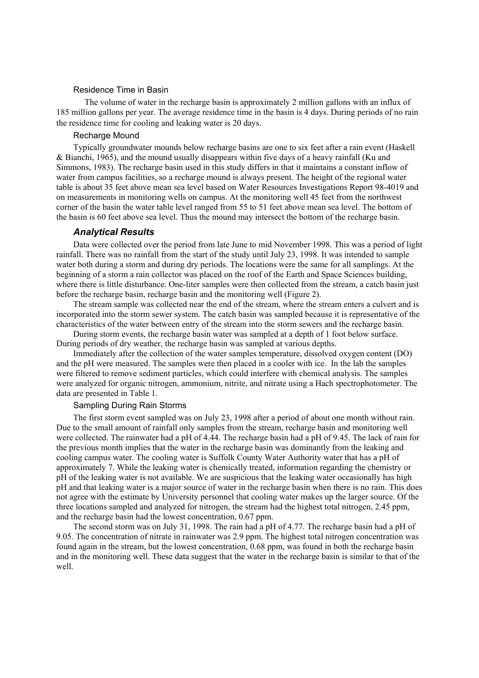#### Residence Time in Basin

The volume of water in the recharge basin is approximately 2 million gallons with an influx of 185 million gallons per year. The average residence time in the basin is 4 days. During periods of no rain the residence time for cooling and leaking water is 20 days.

#### Recharge Mound

Typically groundwater mounds below recharge basins are one to six feet after a rain event (Haskell & Bianchi, 1965), and the mound usually disappears within five days of a heavy rainfall (Ku and Simmons, 1983). The recharge basin used in this study differs in that it maintains a constant inflow of water from campus facilities, so a recharge mound is always present. The height of the regional water table is about 35 feet above mean sea level based on Water Resources Investigations Report 98-4019 and on measurements in monitoring wells on campus. At the monitoring well 45 feet from the northwest corner of the basin the water table level ranged from 55 to 51 feet above mean sea level. The bottom of the basin is 60 feet above sea level. Thus the mound may intersect the bottom of the recharge basin.

#### *Analytical Results*

Data were collected over the period from late June to mid November 1998. This was a period of light rainfall. There was no rainfall from the start of the study until July 23, 1998. It was intended to sample water both during a storm and during dry periods. The locations were the same for all samplings. At the beginning of a storm a rain collector was placed on the roof of the Earth and Space Sciences building, where there is little disturbance. One-liter samples were then collected from the stream, a catch basin just before the recharge basin, recharge basin and the monitoring well (Figure 2).

The stream sample was collected near the end of the stream, where the stream enters a culvert and is incorporated into the storm sewer system. The catch basin was sampled because it is representative of the characteristics of the water between entry of the stream into the storm sewers and the recharge basin.

During storm events, the recharge basin water was sampled at a depth of 1 foot below surface. During periods of dry weather, the recharge basin was sampled at various depths.

Immediately after the collection of the water samples temperature, dissolved oxygen content (DO) and the pH were measured. The samples were then placed in a cooler with ice. In the lab the samples were filtered to remove sediment particles, which could interfere with chemical analysis. The samples were analyzed for organic nitrogen, ammonium, nitrite, and nitrate using a Hach spectrophotometer. The data are presented in Table 1.

## Sampling During Rain Storms

The first storm event sampled was on July 23, 1998 after a period of about one month without rain. Due to the small amount of rainfall only samples from the stream, recharge basin and monitoring well were collected. The rainwater had a pH of 4.44. The recharge basin had a pH of 9.45. The lack of rain for the previous month implies that the water in the recharge basin was dominantly from the leaking and cooling campus water. The cooling water is Suffolk County Water Authority water that has a pH of approximately 7. While the leaking water is chemically treated, information regarding the chemistry or pH of the leaking water is not available. We are suspicious that the leaking water occasionally has high pH and that leaking water is a major source of water in the recharge basin when there is no rain. This does not agree with the estimate by University personnel that cooling water makes up the larger source. Of the three locations sampled and analyzed for nitrogen, the stream had the highest total nitrogen, 2.45 ppm, and the recharge basin had the lowest concentration, 0.67 ppm.

The second storm was on July 31, 1998. The rain had a pH of 4.77. The recharge basin had a pH of 9.05. The concentration of nitrate in rainwater was 2.9 ppm. The highest total nitrogen concentration was found again in the stream, but the lowest concentration, 0.68 ppm, was found in both the recharge basin and in the monitoring well. These data suggest that the water in the recharge basin is similar to that of the well.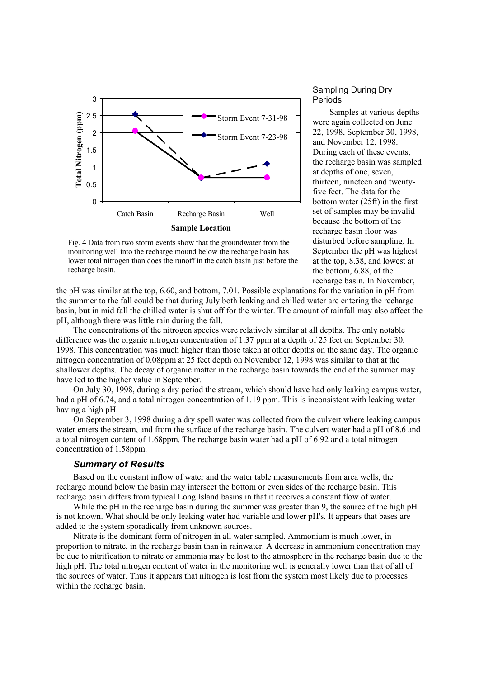

# lower total nitrogen than does the runoff in the catch basin just before the recharge basin.

## Sampling During Dry Periods

Samples at various depths were again collected on June 22, 1998, September 30, 1998, and November 12, 1998. During each of these events, the recharge basin was sampled at depths of one, seven, thirteen, nineteen and twentyfive feet. The data for the bottom water (25ft) in the first set of samples may be invalid because the bottom of the recharge basin floor was disturbed before sampling. In September the pH was highest at the top, 8.38, and lowest at the bottom, 6.88, of the recharge basin. In November,

the pH was similar at the top, 6.60, and bottom, 7.01. Possible explanations for the variation in pH from the summer to the fall could be that during July both leaking and chilled water are entering the recharge basin, but in mid fall the chilled water is shut off for the winter. The amount of rainfall may also affect the pH, although there was little rain during the fall.

The concentrations of the nitrogen species were relatively similar at all depths. The only notable difference was the organic nitrogen concentration of 1.37 ppm at a depth of 25 feet on September 30, 1998. This concentration was much higher than those taken at other depths on the same day. The organic nitrogen concentration of 0.08ppm at 25 feet depth on November 12, 1998 was similar to that at the shallower depths. The decay of organic matter in the recharge basin towards the end of the summer may have led to the higher value in September.

On July 30, 1998, during a dry period the stream, which should have had only leaking campus water, had a pH of 6.74, and a total nitrogen concentration of 1.19 ppm. This is inconsistent with leaking water having a high pH.

On September 3, 1998 during a dry spell water was collected from the culvert where leaking campus water enters the stream, and from the surface of the recharge basin. The culvert water had a pH of 8.6 and a total nitrogen content of 1.68ppm. The recharge basin water had a pH of 6.92 and a total nitrogen concentration of 1.58ppm.

## *Summary of Results*

Based on the constant inflow of water and the water table measurements from area wells, the recharge mound below the basin may intersect the bottom or even sides of the recharge basin. This recharge basin differs from typical Long Island basins in that it receives a constant flow of water.

While the pH in the recharge basin during the summer was greater than 9, the source of the high pH is not known. What should be only leaking water had variable and lower pH's. It appears that bases are added to the system sporadically from unknown sources.

Nitrate is the dominant form of nitrogen in all water sampled. Ammonium is much lower, in proportion to nitrate, in the recharge basin than in rainwater. A decrease in ammonium concentration may be due to nitrification to nitrate or ammonia may be lost to the atmosphere in the recharge basin due to the high pH. The total nitrogen content of water in the monitoring well is generally lower than that of all of the sources of water. Thus it appears that nitrogen is lost from the system most likely due to processes within the recharge basin.